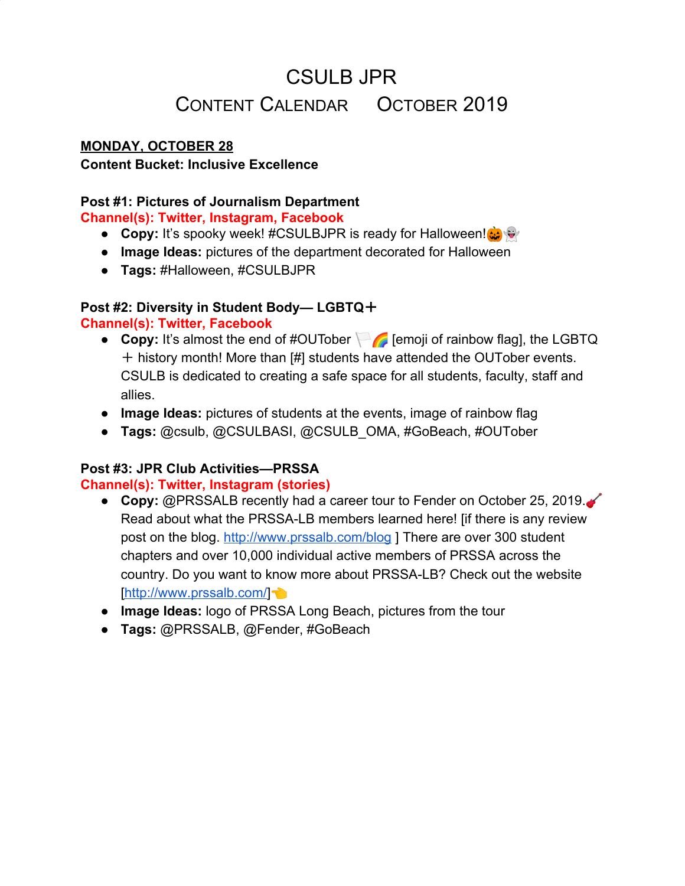#### **MONDAY, OCTOBER 28**

#### **Content Bucket: Inclusive Excellence**

#### **Post #1: Pictures of Journalism Department**

**Channel(s): Twitter, Instagram, Facebook**

- **Copy:** It's spooky week! #CSULBJPR is ready for Halloween!
- **● Image Ideas:** pictures of the department decorated for Halloween
- **● Tags:** #Halloween, #CSULBJPR

#### **Post #2: Diversity in Student Body— LGBTQ**+

#### **Channel(s): Twitter, Facebook**

- **Copy:** It's almost the end of #OUTober **[2014]** [emoji of rainbow flag], the LGBTQ + history month! More than [#] students have attended the OUTober events. CSULB is dedicated to creating a safe space for all students, faculty, staff and allies.
- **● Image Ideas:** pictures of students at the events, image of rainbow flag
- **● Tags:** @csulb, @CSULBASI, @CSULB\_OMA, #GoBeach, #OUTober

#### **Post #3: JPR Club Activities—PRSSA**

#### **Channel(s): Twitter, Instagram (stories)**

- **Copy: @PRSSALB recently had a career tour to Fender on October 25, 2019.** Read about what the PRSSA-LB members learned here! [if there is any review post on the blog. <http://www.prssalb.com/blog> ] There are over 300 student chapters and over 10,000 individual active members of PRSSA across the country. Do you want to know more about PRSSA-LB? Check out the website [\[http://www.prssalb.com/](http://www.prssalb.com/)]
- **● Image Ideas:** logo of PRSSA Long Beach, pictures from the tour
- **● Tags:** @PRSSALB, @Fender, #GoBeach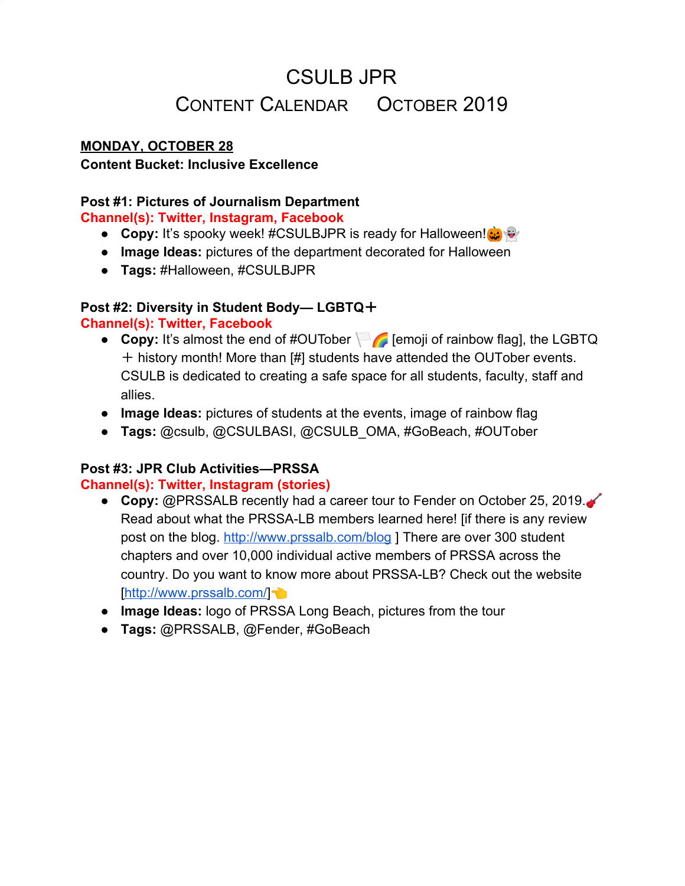### **TUESDAY, OCTOBER 29**

#### **Content Bucket: Intellectual Achievement**

#### **Post #1: AP Style Tip**

#### **Channel(s): Twitter, Instagram (stories)**

- **Copy:** According to AP Style, it's jack-o'-lantern. **(a)** Don't forget the apostrophe! You are welcome
- **● Image Ideas:** image of jack-o'-lanterns with "AP Style Tip" layered, gif of jack-o'-lanterns.
- **● Tags:** @APstylebook, #APstyle

### **Post #2: International Opportunities— Outbound Students**

#### **Channel(s): Twitter, Facebook**

- **Copy:** Have you thought about studying abroad? Not sure where to start? CSULB offers flexible and affordable opportunities for studying abroad through programs at universities throughout the world Yes, units earned abroad count toward your degree at CSULB. Read about outbound students' experience [\[https://csulbgoingglobal.wordpress.com/\]](https://csulbgoingglobal.wordpress.com/)! Also, you can learn about JPR students' study-abroad experiences here! [\[http://www.cla.csulb.edu/departments/journalism/academics/study-abroad/](http://www.cla.csulb.edu/departments/journalism/academics/study-abroad/) ]
- **● Image Ideas:** pictures of outbound students, images/gifs of an airplane.
- **● Tags:** @csulb, @CSULBAbroad, #GoBeach, #StudyAbroad

#### **Post #3: Faculty Spotlight**

#### **Channel(s): Twitter, Instagram, Facebook, LinkedIn**

- **Copy:** Today's faculty spotlight is professor Jennifer Newton! She is a seasoned public relations professional specializing in digital media and integrated marketing communications. Newton teaches public relations classes and serves as a department academic adviser. She is also the business, advertising and public relations adviser for the Daily 49er and DIG MAG. Her advice to JPR students is "[quotes from Newton]." Have you taken her classes yet? Comment below/ reply to let us know!
- **● Image Ideas:** headshot of professor Newton, pictures of her in classroom
- **● Tags:** @mrs\_newton, @daily49er, @DIGMAG, #csulbjpr, #GoBeach, #FacultySpotlight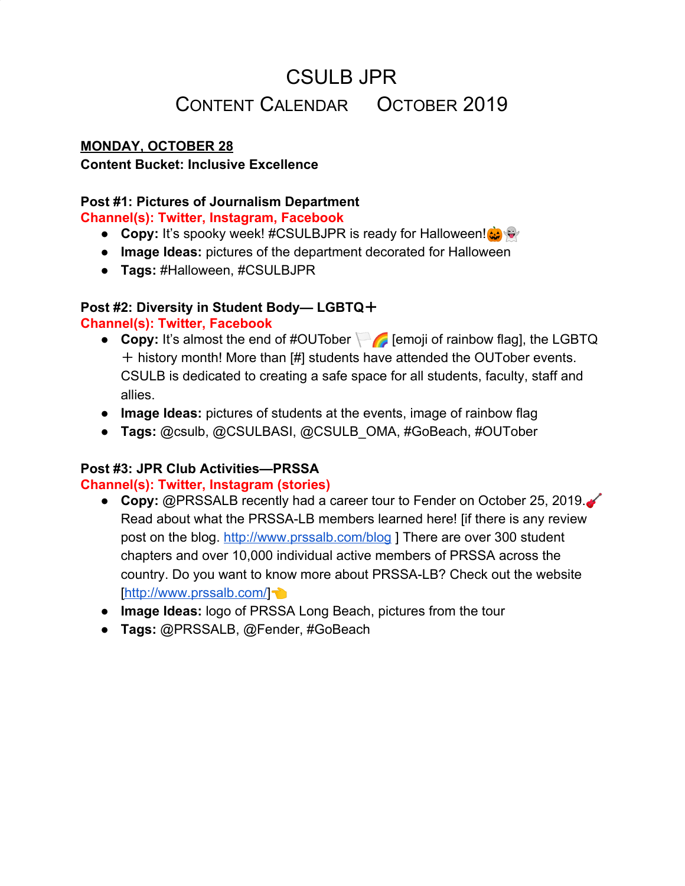### **WEDNESDAY, OCTOBER 30**

#### **Content Bucket: Inclusive Excellence**

#### **Post #1: JPR Club Activities— NAHJ**

#### **Channel(s): Twitter, Facebook**

- **● Copy:** Did you know the meetings of CSULB National Association of Hispanic Journalists (NAHJ) are open to all students regardless of race or ethnicity? CSULB-NAHJ arranges for tours of media companies in the regions, brings professionals to campus, facilitates ways for students to enhance their skills and supports students attending conferences and workshops. Do you want to know more about NAHJ? Check out the website [[https://nahj.org/\]](https://nahj.org/)
- **● Image Ideas:** pictures of CSULB-NAHJ members, pictures of its leaders
- **● Tags:** @csulbnahj, @officialnahj, #CSULBNAHJ, #GoBeach

#### **Post #2: Safe: Campus Police**

#### **Channel(s): Twitter, Instagram (stories)**

- **● Copy:** Are you following the official account of the CSULB Police Department on [Twitter/Instagram]? Although it is not monitored 24/7, it informs us about the safety on campus and keeps us updated in a timely manner. Also, don't forget about K9 Avery!  $\mathbf{r}$
- **● Image Ideas:** pictures of police officers, pictures of K9 Avery
- **• Tags:** @CSULBPolice (Twitter), @csulb\_police (IG), @k9\_avery, @csulb, #GoBeach

#### **Post #3: Pictures of Campus Landmarks— The Walter Pyramid Channel(s): Twitter, Instagram, LinkedIn**

- **● Copy:** The home of Long Beach State basketball and volleyball for over 20 years, the Walter Pyramid has become a nationally recognized icon for the university and the city of Long Beach  $\mathcal{L}$  The Walter Pyramid is believed to be the largest space-frame structure in North America. The 2019-20 basketball season is coming! Check out the event calendar [\[https://ev6.evenue.net/cgi-bin/ncommerce3/SEGetEventList?linkID=twcsulb&gro](https://ev6.evenue.net/cgi-bin/ncommerce3/SEGetEventList?linkID=twcsulb&groupCode=&timeDateFrom=2019-11-1-00.00.00&timeDateTo=2019-11-30-24.00.00&grandParent=) [upCode=&timeDateFrom=2019-11-1-00.00.00&timeDateTo=2019-11-30-24.00.0](https://ev6.evenue.net/cgi-bin/ncommerce3/SEGetEventList?linkID=twcsulb&groupCode=&timeDateFrom=2019-11-1-00.00.00&timeDateTo=2019-11-30-24.00.00&grandParent=) [0&grandParent=\]](https://ev6.evenue.net/cgi-bin/ncommerce3/SEGetEventList?linkID=twcsulb&groupCode=&timeDateFrom=2019-11-1-00.00.00&timeDateTo=2019-11-30-24.00.00&grandParent=).
- **● Image Ideas:** pictures of the Walter Pyramid (inside and outside), picture of a basketball game
- **● Tags:** @csulb, @LBSUAthletics, #GoBeach, #thePyramid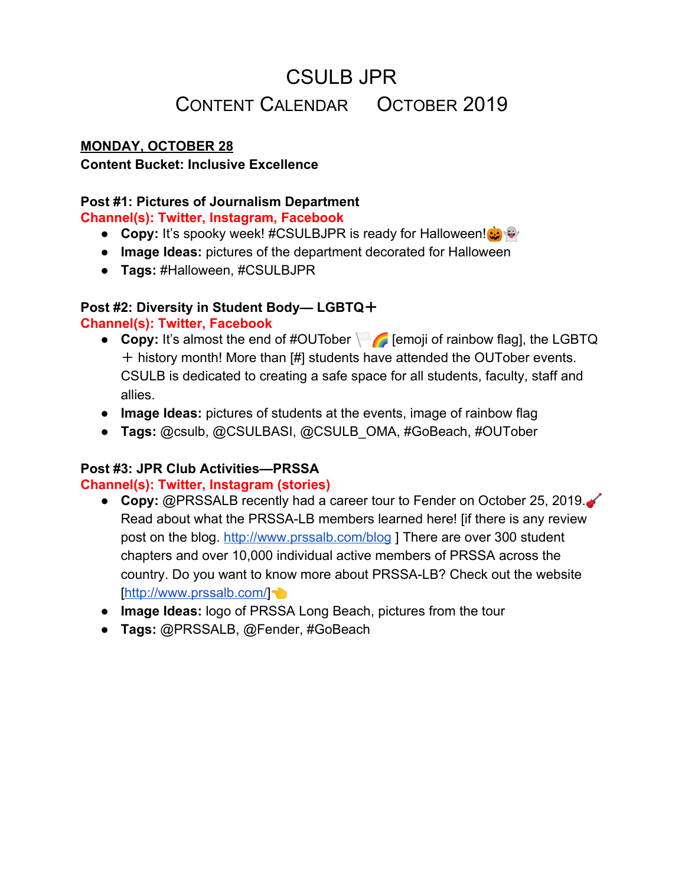### **THURSDAY, OCTOBER 31**

#### **Content Bucket: Public Good**

#### **Post #1: Events in the Community that Would be of Interests or benefit JPR students— the Queen Mary's Dark Harbor**

#### **Channel(s): Twitter, Instagram (stories)**

- **Copy:** Have you got enough horror for this Halloween already?  $\bullet$  Are you too busy with your assignment to get haunted tonight? The Queen Mary's Dark Harbor goes on until November 2! Get your ticket here [\[https://www.queenmary.com/calendar-of-events/dark-harbor/dh-calendar/\]](https://www.queenmary.com/calendar-of-events/dark-harbor/dh-calendar/).
- **● Image Ideas:** pictures of the Queen Mary, gifs of ghost (not so scary ones)
- **● Tags:** @TheQueenMary, #Halloween, #LongBeach

### **Post #2: Events in the Community that Would be of Interests or benefit JPR students— Dia de los Muertos: Community Workshop & Performance**

#### **Channel(s): Twitter, Instagram (stories)**

- **● Copy:** Are you looking for a free local event for tomorrow? Here is a suggestion. Museum of Latin American Art (MOLAA) holds an event, Dia de los Muertos: Community Workshop & Performance, to celebrate the Day of the Dead For more information, visit here [\[https://molaa.org/events/dia-de-los-muertos-community-workshop-2019](https://molaa.org/events/dia-de-los-muertos-community-workshop-2019)]. MOLAA is the only museum in the United States dedicated to modern and contemporary Latin American and Latino art.
- **● Image Ideas:** images or gifs of painted skulls, map of MOLLA.
- **● Tags:** @molaa, #DayoftheDead, #DiaDeLosMuertos, #LongBeach

#### **Post #3: Old Pictures of Campus— 50th Anniversary Celebration Channel(s): Twitter, Instagram, Facebook**

- **● Copy:** It's #throwbackthursday! These pictures were taken 20 years ago at various events for the 50th Anniversary Celebration of CSULB departments, student groups, staff organizations, emeritus faculty and staff and community partners were invited to plan events, receptions and activities which had a theme related to the celebration.
- **● Image Ideas:** pictures of the 50th Anniversary Celebration
- **● Tags:** @csulb, #GoBeach, #throwbackthursday